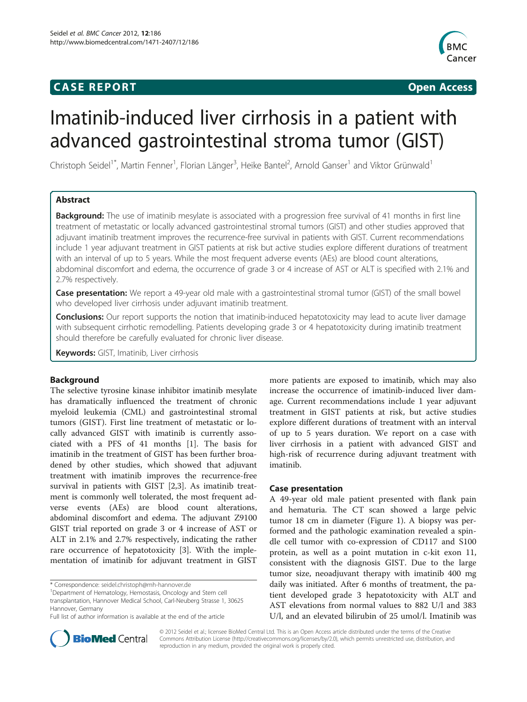# **CASE REPORT CASE REPORT CASE REPORT**



# Imatinib-induced liver cirrhosis in a patient with advanced gastrointestinal stroma tumor (GIST)

Christoph Seidel<sup>1\*</sup>, Martin Fenner<sup>1</sup>, Florian Länger<sup>3</sup>, Heike Bantel<sup>2</sup>, Arnold Ganser<sup>1</sup> and Viktor Grünwald<sup>1</sup>

# Abstract

**Background:** The use of imatinib mesylate is associated with a progression free survival of 41 months in first line treatment of metastatic or locally advanced gastrointestinal stromal tumors (GIST) and other studies approved that adjuvant imatinib treatment improves the recurrence-free survival in patients with GIST. Current recommendations include 1 year adjuvant treatment in GIST patients at risk but active studies explore different durations of treatment with an interval of up to 5 years. While the most frequent adverse events (AEs) are blood count alterations, abdominal discomfort and edema, the occurrence of grade 3 or 4 increase of AST or ALT is specified with 2.1% and 2.7% respectively.

Case presentation: We report a 49-year old male with a gastrointestinal stromal tumor (GIST) of the small bowel who developed liver cirrhosis under adjuvant imatinib treatment.

**Conclusions:** Our report supports the notion that imatinib-induced hepatotoxicity may lead to acute liver damage with subsequent cirrhotic remodelling. Patients developing grade 3 or 4 hepatotoxicity during imatinib treatment should therefore be carefully evaluated for chronic liver disease.

Keywords: GIST, Imatinib, Liver cirrhosis

# Background

The selective tyrosine kinase inhibitor imatinib mesylate has dramatically influenced the treatment of chronic myeloid leukemia (CML) and gastrointestinal stromal tumors (GIST). First line treatment of metastatic or locally advanced GIST with imatinib is currently associated with a PFS of 41 months [\[1](#page-2-0)]. The basis for imatinib in the treatment of GIST has been further broadened by other studies, which showed that adjuvant treatment with imatinib improves the recurrence-free survival in patients with GIST [\[2,3](#page-2-0)]. As imatinib treatment is commonly well tolerated, the most frequent adverse events (AEs) are blood count alterations, abdominal discomfort and edema. The adjuvant Z9100 GIST trial reported on grade 3 or 4 increase of AST or ALT in 2.1% and 2.7% respectively, indicating the rather rare occurrence of hepatotoxicity [[3\]](#page-2-0). With the implementation of imatinib for adjuvant treatment in GIST



#### Case presentation

A 49-year old male patient presented with flank pain and hematuria. The CT scan showed a large pelvic tumor 18 cm in diameter (Figure [1](#page-1-0)). A biopsy was performed and the pathologic examination revealed a spindle cell tumor with co-expression of CD117 and S100 protein, as well as a point mutation in c-kit exon 11, consistent with the diagnosis GIST. Due to the large tumor size, neoadjuvant therapy with imatinib 400 mg daily was initiated. After 6 months of treatment, the patient developed grade 3 hepatotoxicity with ALT and AST elevations from normal values to 882 U/l and 383 U/l, and an elevated bilirubin of 25 umol/l. Imatinib was



© 2012 Seidel et al.; licensee BioMed Central Ltd. This is an Open Access article distributed under the terms of the Creative Commons Attribution License [\(http://creativecommons.org/licenses/by/2.0\)](http://creativecommons.org/licenses/by/2.0), which permits unrestricted use, distribution, and reproduction in any medium, provided the original work is properly cited.

<sup>\*</sup> Correspondence: [seidel.christoph@mh-hannover.de](mailto:seidel.christoph@mh-hannover.de) <sup>1</sup>

Department of Hematology, Hemostasis, Oncology and Stem cell transplantation, Hannover Medical School, Carl-Neuberg Strasse 1, 30625 Hannover, Germany

Full list of author information is available at the end of the article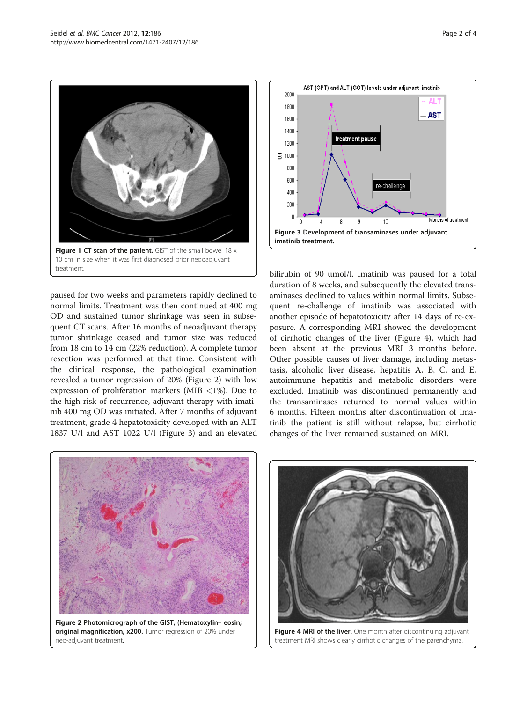<span id="page-1-0"></span>

paused for two weeks and parameters rapidly declined to normal limits. Treatment was then continued at 400 mg OD and sustained tumor shrinkage was seen in subsequent CT scans. After 16 months of neoadjuvant therapy tumor shrinkage ceased and tumor size was reduced from 18 cm to 14 cm (22% reduction). A complete tumor resection was performed at that time. Consistent with the clinical response, the pathological examination revealed a tumor regression of 20% (Figure 2) with low expression of proliferation markers (MIB <1%). Due to the high risk of recurrence, adjuvant therapy with imatinib 400 mg OD was initiated. After 7 months of adjuvant treatment, grade 4 hepatotoxicity developed with an ALT 1837 U/l and AST 1022 U/l (Figure 3) and an elevated



bilirubin of 90 umol/l. Imatinib was paused for a total duration of 8 weeks, and subsequently the elevated transaminases declined to values within normal limits. Subsequent re-challenge of imatinib was associated with another episode of hepatotoxicity after 14 days of re-exposure. A corresponding MRI showed the development of cirrhotic changes of the liver (Figure 4), which had been absent at the previous MRI 3 months before. Other possible causes of liver damage, including metastasis, alcoholic liver disease, hepatitis A, B, C, and E, autoimmune hepatitis and metabolic disorders were excluded. Imatinib was discontinued permanently and the transaminases returned to normal values within 6 months. Fifteen months after discontinuation of imatinib the patient is still without relapse, but cirrhotic changes of the liver remained sustained on MRI.





Figure 4 MRI of the liver. One month after discontinuing adjuvant treatment MRI shows clearly cirrhotic changes of the parenchyma.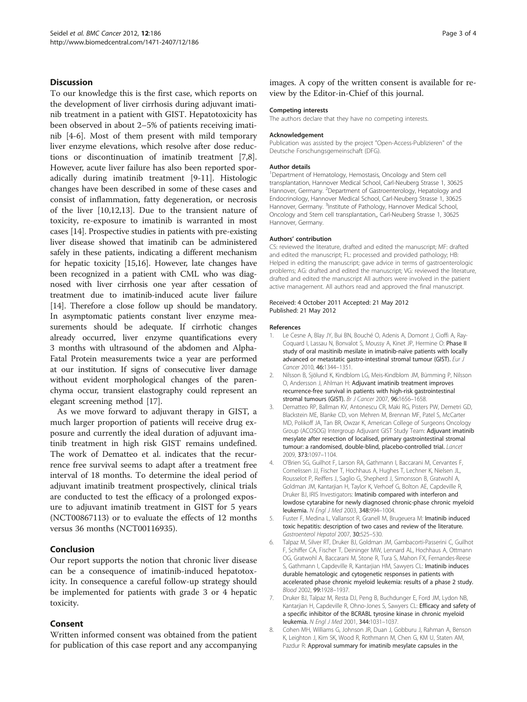# <span id="page-2-0"></span>Discussion

To our knowledge this is the first case, which reports on the development of liver cirrhosis during adjuvant imatinib treatment in a patient with GIST. Hepatotoxicity has been observed in about 2–5% of patients receiving imatinib [4-6]. Most of them present with mild temporary liver enzyme elevations, which resolve after dose reductions or discontinuation of imatinib treatment [7,8]. However, acute liver failure has also been reported sporadically during imatinib treatment [[9-11\]](#page-3-0). Histologic changes have been described in some of these cases and consist of inflammation, fatty degeneration, or necrosis of the liver [\[10,12,13](#page-3-0)]. Due to the transient nature of toxicity, re-exposure to imatinib is warranted in most cases [[14](#page-3-0)]. Prospective studies in patients with pre-existing liver disease showed that imatinib can be administered safely in these patients, indicating a different mechanism for hepatic toxicity [[15,16\]](#page-3-0). However, late changes have been recognized in a patient with CML who was diagnosed with liver cirrhosis one year after cessation of treatment due to imatinib-induced acute liver failure [[14](#page-3-0)]. Therefore a close follow up should be mandatory. In asymptomatic patients constant liver enzyme measurements should be adequate. If cirrhotic changes already occurred, liver enzyme quantifications every 3 months with ultrasound of the abdomen and Alpha-Fatal Protein measurements twice a year are performed at our institution. If signs of consecutive liver damage without evident morphological changes of the parenchyma occur, transient elastography could represent an elegant screening method [[17](#page-3-0)].

As we move forward to adjuvant therapy in GIST, a much larger proportion of patients will receive drug exposure and currently the ideal duration of adjuvant imatinib treatment in high risk GIST remains undefined. The work of Dematteo et al. indicates that the recurrence free survival seems to adapt after a treatment free interval of 18 months. To determine the ideal period of adjuvant imatinib treatment prospectively, clinical trials are conducted to test the efficacy of a prolonged exposure to adjuvant imatinib treatment in GIST for 5 years (NCT00867113) or to evaluate the effects of 12 months versus 36 months (NCT00116935).

# Conclusion

Our report supports the notion that chronic liver disease can be a consequence of imatinib-induced hepatotoxicity. In consequence a careful follow-up strategy should be implemented for patients with grade 3 or 4 hepatic toxicity.

# Consent

Written informed consent was obtained from the patient for publication of this case report and any accompanying images. A copy of the written consent is available for review by the Editor-in-Chief of this journal.

#### Competing interests

The authors declare that they have no competing interests.

#### Acknowledgement

Publication was assisted by the project "Open-Access-Publizieren" of the Deutsche Forschungsgemeinschaft (DFG).

#### Author details

<sup>1</sup>Department of Hematology, Hemostasis, Oncology and Stem cell transplantation, Hannover Medical School, Carl-Neuberg Strasse 1, 30625 Hannover, Germany. <sup>2</sup>Department of Gastroenterology, Hepatology and Endocrinology, Hannover Medical School, Carl-Neuberg Strasse 1, 30625 Hannover, Germany. <sup>3</sup>Institute of Pathology, Hannover Medical School Oncology and Stem cell transplantation,, Carl-Neuberg Strasse 1, 30625 Hannover, Germany.

#### Authors' contribution

CS: reviewed the literature, drafted and edited the manuscript; MF: drafted and edited the manuscript; FL: processed and provided pathology; HB: Helped in editing the manuscript; gave advice in terms of gastroenterologic problems; AG: drafted and edited the manuscript; VG: reviewed the literature, drafted and edited the manuscript All authors were involved in the patient active management. All authors read and approved the final manuscript.

#### Received: 4 October 2011 Accepted: 21 May 2012 Published: 21 May 2012

#### References

- 1. Le Cesne A, Blay JY, Bui BN, Bouché O, Adenis A, Domont J, Cioffi A, Ray-Coquard I, Lassau N, Bonvalot S, Moussy A, Kinet JP, Hermine O: Phase II study of oral masitinib mesilate in imatinib-naïve patients with locally advanced or metastatic gastro-intestinal stromal tumour (GIST). Eur J Cancer 2010, 46:1344–1351.
- 2. Nilsson B, Sjölund K, Kindblom LG, Meis-Kindblom JM, Bümming P, Nilsson O, Andersson J, Ahlman H: Adjuvant imatinib treatment improves recurrence-free survival in patients with high-risk gastrointestinal stromal tumours (GIST). Br J Cancer 2007, 96:1656–1658.
- 3. Dematteo RP, Ballman KV, Antonescu CR, Maki RG, Pisters PW, Demetri GD, Blackstein ME, Blanke CD, von Mehren M, Brennan MF, Patel S, McCarter MD, Polikoff JA, Tan BR, Owzar K, American College of Surgeons Oncology Group (ACOSOG) Intergroup Adjuvant GIST Study Team: Adjuvant imatinib mesylate after resection of localised, primary gastrointestinal stromal tumour: a randomised, double-blind, placebo-controlled trial. Lancet 2009, 373:1097–1104.
- 4. O'Brien SG, Guilhot F, Larson RA, Gathmann I, Baccarani M, Cervantes F, Cornelissen JJ, Fischer T, Hochhaus A, Hughes T, Lechner K, Nielsen JL, Rousselot P, Reiffers J, Saglio G, Shepherd J, Simonsson B, Gratwohl A, Goldman JM, Kantarjian H, Taylor K, Verhoef G, Bolton AE, Capdeville R, Druker BJ, IRIS Investigators: Imatinib compared with interferon and lowdose cytarabine for newly diagnosed chronic-phase chronic myeloid leukemia. N Engl J Med 2003, 348:994–1004.
- 5. Fuster F, Medina L, Vallansot R, Granell M, Brugeuera M: Imatinib induced toxic hepatitis: description of two cases and review of the literature. Gastroenterol Hepatol 2007, 30:525–530.
- 6. Talpaz M, Silver RT, Druker BJ, Goldman JM, Gambacorti-Passerini C, Guilhot F, Schiffer CA, Fischer T, Deininger MW, Lennard AL, Hochhaus A, Ottmann OG, Gratwohl A, Baccarani M, Stone R, Tura S, Mahon FX, Fernandes-Reese S, Gathmann I, Capdeville R, Kantarjian HM, Sawyers CL: Imatinib induces durable hematologic and cytogenetic responses in patients with accelerated phase chronic myeloid leukemia: results of a phase 2 study. Blood 2002, 99:1928–1937.
- 7. Druker BJ, Talpaz M, Resta DJ, Peng B, Buchdunger E, Ford JM, Lydon NB, Kantarjian H, Capdeville R, Ohno-Jones S, Sawyers CL: Efficacy and safety of a specific inhibitor of the BCRABL tyrosine kinase in chronic myeloid leukemia. N Engl J Med 2001, 344:1031–1037.
- 8. Cohen MH, Williams G, Johnson JR, Duan J, Gobburu J, Rahman A, Benson K, Leighton J, Kim SK, Wood R, Rothmann M, Chen G, KM U, Staten AM, Pazdur R: Approval summary for imatinib mesylate capsules in the